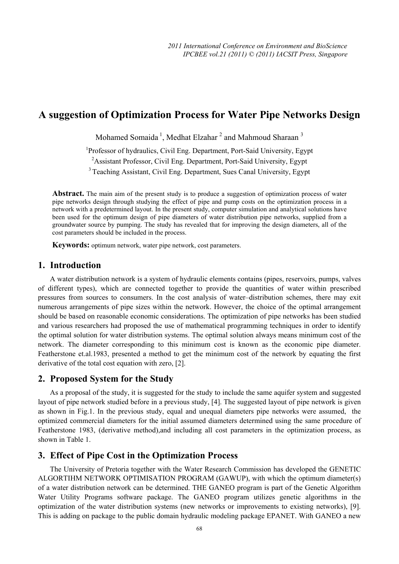# **A suggestion of Optimization Process for Water Pipe Networks Design**

Mohamed Somaida<sup>1</sup>, Medhat Elzahar<sup>2</sup> and Mahmoud Sharaan<sup>3</sup>

<sup>1</sup>Professor of hydraulics, Civil Eng. Department, Port-Said University, Egypt <sup>2</sup> Assistant Professor, Civil Eng. Department, Port-Said University, Egypt

<sup>3</sup> Teaching Assistant, Civil Eng. Department, Sues Canal University, Egypt

**Abstract.** The main aim of the present study is to produce a suggestion of optimization process of water pipe networks design through studying the effect of pipe and pump costs on the optimization process in a network with a predetermined layout. In the present study, computer simulation and analytical solutions have been used for the optimum design of pipe diameters of water distribution pipe networks, supplied from a groundwater source by pumping. The study has revealed that for improving the design diameters, all of the cost parameters should be included in the process.

**Keywords:** optimum network, water pipe network, cost parameters.

#### **1. Introduction**

A water distribution network is a system of hydraulic elements contains (pipes, reservoirs, pumps, valves of different types), which are connected together to provide the quantities of water within prescribed pressures from sources to consumers. In the cost analysis of water–distribution schemes, there may exit numerous arrangements of pipe sizes within the network. However, the choice of the optimal arrangement should be based on reasonable economic considerations. The optimization of pipe networks has been studied and various researchers had proposed the use of mathematical programming techniques in order to identify the optimal solution for water distribution systems. The optimal solution always means minimum cost of the network. The diameter corresponding to this minimum cost is known as the economic pipe diameter. Featherstone et.al.1983, presented a method to get the minimum cost of the network by equating the first derivative of the total cost equation with zero, [2].

## **2. Proposed System for the Study**

As a proposal of the study, it is suggested for the study to include the same aquifer system and suggested layout of pipe network studied before in a previous study, [4]. The suggested layout of pipe network is given as shown in Fig.1. In the previous study, equal and unequal diameters pipe networks were assumed, the optimized commercial diameters for the initial assumed diameters determined using the same procedure of Featherstone 1983, (derivative method),and including all cost parameters in the optimization process, as shown in Table 1.

#### **3. Effect of Pipe Cost in the Optimization Process**

The University of Pretoria together with the Water Research Commission has developed the GENETIC ALGORTIHM NETWORK OPTIMISATION PROGRAM (GAWUP), with which the optimum diameter(s) of a water distribution network can be determined. THE GANEO program is part of the Genetic Algorithm Water Utility Programs software package. The GANEO program utilizes genetic algorithms in the optimization of the water distribution systems (new networks or improvements to existing networks), [9]. This is adding on package to the public domain hydraulic modeling package EPANET. With GANEO a new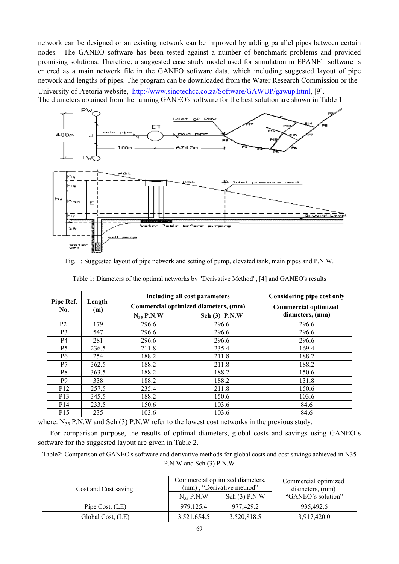network can be designed or an existing network can be improved by adding parallel pipes between certain nodes. The GANEO software has been tested against a number of benchmark problems and provided promising solutions. Therefore; a suggested case study model used for simulation in EPANET software is entered as a main network file in the GANEO software data, which including suggested layout of pipe network and lengths of pipes. The program can be downloaded from the Water Research Commission or the

University of Pretoria website, http://www.sinotechcc.co.za/Software/GAWUP/gawup.html, [9]. The diameters obtained from the running GANEO's software for the best solution are shown in Table 1



Fig. 1: Suggested layout of pipe network and setting of pump, elevated tank, main pipes and P.N.W.

|                  | Length<br>(m) | Including all cost parameters | Considering pipe cost only           |                             |  |
|------------------|---------------|-------------------------------|--------------------------------------|-----------------------------|--|
| Pipe Ref.<br>No. |               |                               | Commercial optimized diameters, (mm) | <b>Commercial optimized</b> |  |
|                  |               | $N_{35}$ P.N.W                | Sch (3) P.N.W                        | diameters, (mm)             |  |
| P <sub>2</sub>   | 179           | 296.6                         | 296.6                                | 296.6                       |  |
| P <sub>3</sub>   | 547           | 296.6                         | 296.6                                | 296.6                       |  |
| P4               | 281           | 296.6                         | 296.6                                | 296.6                       |  |
| P <sub>5</sub>   | 236.5         | 211.8                         | 235.4                                | 169.4                       |  |
| P6               | 254           | 188.2                         | 211.8                                | 188.2                       |  |
| P7               | 362.5         | 188.2                         | 211.8                                | 188.2                       |  |
| P8               | 363.5         | 188.2                         | 188.2                                | 150.6                       |  |
| P <sub>9</sub>   | 338           | 188.2                         | 188.2                                | 131.8                       |  |
| P <sub>12</sub>  | 257.5         | 235.4                         | 211.8                                | 150.6                       |  |
| P <sub>13</sub>  | 345.5         | 188.2                         | 150.6                                | 103.6                       |  |
| P <sub>14</sub>  | 233.5         | 150.6                         | 103.6                                | 84.6                        |  |
| P <sub>15</sub>  | 235           | 103.6                         | 103.6                                | 84.6                        |  |

Table 1: Diameters of the optimal networks by "Derivative Method", [4] and GANEO's results

where:  $N_{35}$  P.N.W and Sch (3) P.N.W refer to the lowest cost networks in the previous study.

For comparison purpose, the results of optimal diameters, global costs and savings using GANEO's software for the suggested layout are given in Table 2.

Table2: Comparison of GANEO's software and derivative methods for global costs and cost savings achieved in N35 P.N.W and Sch (3) P.N.W

| Cost and Cost saving |                | Commercial optimized diameters,<br>(mm), "Derivative method" | Commercial optimized<br>diameters, (mm) |  |
|----------------------|----------------|--------------------------------------------------------------|-----------------------------------------|--|
|                      | $N_{35}$ P.N.W | Sch(3) P.N.W                                                 | "GANEO's solution"                      |  |
| Pipe Cost, (LE)      | 979.125.4      | 977.429.2                                                    | 935.492.6                               |  |
| Global Cost, (LE)    | 3,521,654.5    | 3,520,818.5                                                  | 3,917,420.0                             |  |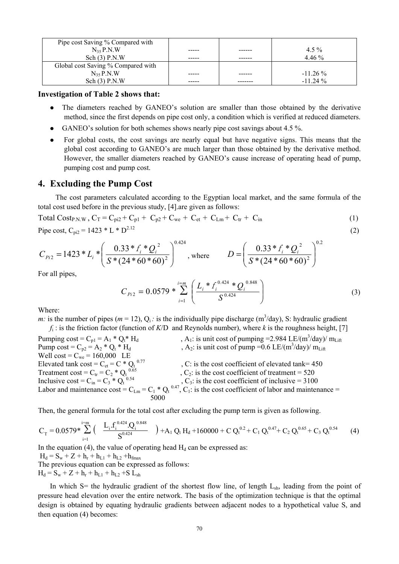| Pipe cost Saving % Compared with   |      |            |
|------------------------------------|------|------------|
| $N_{35}P.N.W$                      | ---- | $4.5\%$    |
| Sch(3) P.N.W                       |      | $4.46\%$   |
| Global cost Saving % Compared with |      |            |
| $N_{35}$ P.N.W                     |      | $-11.26\%$ |
| Sch(3) P.N.W                       |      | $-1124\%$  |

#### **Investigation of Table 2 shows that:**

- The diameters reached by GANEO's solution are smaller than those obtained by the derivative method, since the first depends on pipe cost only, a condition which is verified at reduced diameters.
- GANEO's solution for both schemes shows nearly pipe cost savings about 4.5 %.
- For global costs, the cost savings are nearly equal but have negative signs. This means that the global cost according to GANEO's are much larger than those obtained by the derivative method. However, the smaller diameters reached by GANEO's cause increase of operating head of pump, pumping cost and pump cost.

#### **4. Excluding the Pump Cost**

 The cost parameters calculated according to the Egyptian local market, and the same formula of the total cost used before in the previous study, [4].are given as follows:

Total Cost<sub>P.N.W</sub>,  $C_T = C_{pi2} + C_{p1} + C_{p2} + C_{we} + C_{et} + C_{Lm} + C_{tr} + C_{in}$  (1)

Pipe cost,  $C_{\text{ni2}} = 1423 \cdot L \cdot D^{2.12}$  (2)

$$
C_{Pi2} = 1423 \cdot L_i \cdot \left(\frac{0.33 \cdot L_i \cdot Q_i^2}{S \cdot (24 \cdot 60 \cdot 60)^2}\right)^{0.424}, \text{ where } D = \left(\frac{0.33 \cdot L_i \cdot Q_i^2}{S \cdot (24 \cdot 60 \cdot 60)^2}\right)^{0.2}
$$

For all pipes,

$$
C_{Pi2} = 0.0579 * \sum_{i=1}^{i=m} \left( \frac{L_i * f_i^{0.424} * Q_i^{0.848}}{S^{0.424}} \right)
$$
 (3)

Where:

*m:* is the number of pipes ( $m = 12$ ),  $Q_i$ : is the individually pipe discharge ( $m^3$ /day), S: hydraulic gradient  $f_i$ : is the friction factor (function of *K*/D and Reynolds number), where *k* is the roughness height, [7]

Pumping cost =  $C_{p1} = A_1 * Q_t * H_d$ , A<sub>1</sub>: is unit cost of pumping = 2.984 LE/(m<sup>3</sup>/day)/ m<sub>Lift</sub> Pump cost =  $C_{p2} = A_2 * Q_t * H_d$ ,  $A_2$ : is unit cost of pump = 0.6 LE/(m<sup>3</sup>/day)/ m<sub>Lift</sub> Well cost =  $C_{we}$  = 160,000 LE Elevated tank  $\cos t = C_{et} = C * Q_t^{0.77}$ , C: is the cost coefficient of elevated tank= 450 Treatment cost =  $C_{tr}$  =  $C_2$  \*  $Q_t$ ,  $C_2$ : is the cost coefficient of treatment = 520 Inclusive cost =  $C_{in} = C_3 * Q_t$  $0.54$ ,  $C_3$ : is the cost coefficient of inclusive = 3100 Labor and maintenance cost =  $C_{Lm} = C_1 * Q_t^{0.47}$ ,  $C_1$ : is the cost coefficient of labor and maintenance = 5000

Then, the general formula for the total cost after excluding the pump term is given as following.

$$
C_T = 0.0579 * \sum_{i=1}^{i=m} \left( \frac{L_i \cdot f_i^{0.424} \cdot Q_i^{0.848}}{S^{0.424}} \right) + A_1 Q_t H_d + 160000 + C Q_t^{0.2} + C_1 Q_t^{0.47} + C_2 Q_t^{0.65} + C_3 Q_t^{0.54} \tag{4}
$$

In the equation (4), the value of operating head  $H_d$  can be expressed as:

 $H_d = S_w + Z + h_r + h_{L1} + h_{L2} + h_{fmax}$ The previous equation can be expressed as follows:  $H_d = S_w + Z + h_r + h_{L1} + h_{L2} + S L_{sh}$ 

In which  $S$ = the hydraulic gradient of the shortest flow line, of length  $L<sub>sh</sub>$ , leading from the point of pressure head elevation over the entire network. The basis of the optimization technique is that the optimal design is obtained by equating hydraulic gradients between adjacent nodes to a hypothetical value S, and then equation (4) becomes: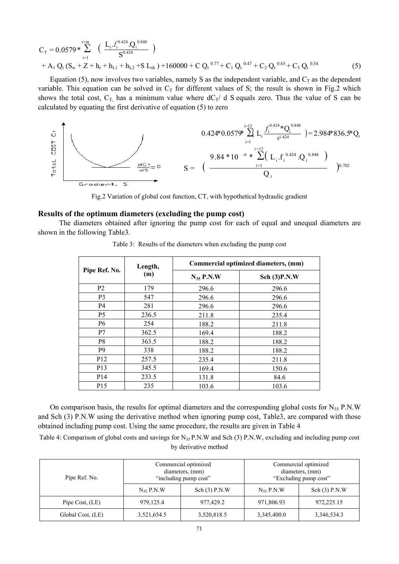$$
C_{T} = 0.0579 * \sum_{i=1}^{i=m} \left( \frac{L_{i} f_{i}^{0.424} \cdot Q_{i}^{0.848}}{S^{0.424}} \right) + A_{1} Q_{t} (S_{w} + Z + h_{r} + h_{L1} + h_{L2} + S L_{sh}) + 160000 + C Q_{t}^{0.77} + C_{1} Q_{t}^{0.47} + C_{2} Q_{t}^{0.65} + C_{3} Q_{t}^{0.54}
$$
(5)

Equation (5), now involves two variables, namely S as the independent variable, and  $C_T$  as the dependent variable. This equation can be solved in  $C_T$  for different values of S; the result is shown in Fig.2 which shows the total cost,  $C_T$ , has a minimum value where  $dC_T/dS$  equals zero. Thus the value of S can be calculated by equating the first derivative of equation (5) to zero



Fig.2 Variation of global cost function, CT, with hypothetical hydraulic gradient

#### **Results of the optimum diameters (excluding the pump cost)**

 The diameters obtained after ignoring the pump cost for each of equal and unequal diameters are shown in the following Table3.

|                 | Length,<br>(m) | Commercial optimized diameters, (mm) |                 |  |
|-----------------|----------------|--------------------------------------|-----------------|--|
| Pipe Ref. No.   |                | $N_{35}$ P.N.W                       | Sch $(3)$ P.N.W |  |
| P <sub>2</sub>  | 179            | 296.6                                | 296.6           |  |
| P <sub>3</sub>  | 547            | 296.6                                | 296.6           |  |
| P4              | 281            | 296.6                                | 296.6           |  |
| P <sub>5</sub>  | 236.5          | 211.8                                | 235.4           |  |
| <b>P6</b>       | 254            | 188.2                                | 211.8           |  |
| P7              | 362.5          | 169.4                                | 188.2           |  |
| P8              | 363.5          | 188.2                                | 188.2           |  |
| P <sub>9</sub>  | 338            | 188.2                                | 188.2           |  |
| P <sub>12</sub> | 257.5          | 235.4                                | 211.8           |  |
| P <sub>13</sub> | 345.5          | 169.4                                | 150.6           |  |
| P <sub>14</sub> | 233.5          | 131.8                                | 84.6            |  |
| P <sub>15</sub> | 235            | 103.6                                | 103.6           |  |

Table 3: Results of the diameters when excluding the pump cost

On comparison basis, the results for optimal diameters and the corresponding global costs for  $N_{35}$  P.N.W and Sch (3) P.N.W using the derivative method when ignoring pump cost, Table3, are compared with those obtained including pump cost. Using the same procedure, the results are given in Table 4

Table 4: Comparison of global costs and savings for  $N_{35}$  P.N.W and Sch (3) P.N.W, excluding and including pump cost by derivative method

| Pipe Ref. No.     | Commercial optimized<br>diameters, (mm)<br>"including pump cost" |                 | Commercial optimized<br>diameters, (mm)<br>"Excluding pump cost" |                 |
|-------------------|------------------------------------------------------------------|-----------------|------------------------------------------------------------------|-----------------|
|                   | $N_{35}$ P.N.W                                                   | Sch $(3)$ P.N.W | $N_{35}$ P.N.W                                                   | Sch $(3)$ P.N.W |
| Pipe Cost, (LE)   | 979, 125.4                                                       | 977,429.2       | 971,806.93                                                       | 972,225.15      |
| Global Cost, (LE) | 3,521,654.5                                                      | 3,520,818.5     | 3,345,400.0                                                      | 3,346,534.3     |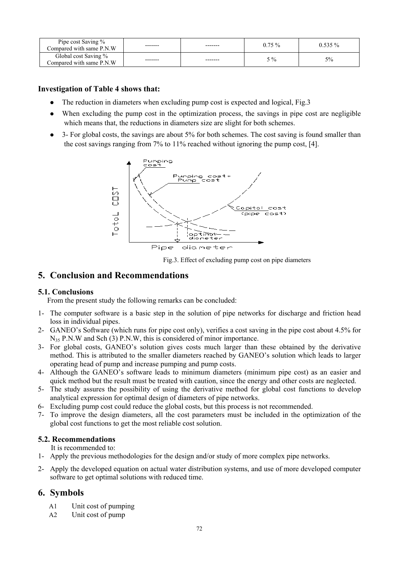| Pipe cost Saving %<br>Compared with same P.N.W   | ------- | ------- | $0.75 \%$ | $0.535\%$ |
|--------------------------------------------------|---------|---------|-----------|-----------|
| Global cost Saving %<br>Compared with same P.N.W | ------- | ------- | $5\%$     | 5%        |

## **Investigation of Table 4 shows that:**

- The reduction in diameters when excluding pump cost is expected and logical, Fig.3
- When excluding the pump cost in the optimization process, the savings in pipe cost are negligible which means that, the reductions in diameters size are slight for both schemes.
- 3- For global costs, the savings are about 5% for both schemes. The cost saving is found smaller than the cost savings ranging from 7% to 11% reached without ignoring the pump cost, [4].



Fig.3. Effect of excluding pump cost on pipe diameters

# **5. Conclusion and Recommendations**

## **5.1. Conclusions**

From the present study the following remarks can be concluded:

- 1- The computer software is a basic step in the solution of pipe networks for discharge and friction head loss in individual pipes.
- 2- GANEO's Software (which runs for pipe cost only), verifies a cost saving in the pipe cost about 4.5% for N<sub>35</sub> P.N.W and Sch (3) P.N.W, this is considered of minor importance.
- 3- For global costs, GANEO's solution gives costs much larger than these obtained by the derivative method. This is attributed to the smaller diameters reached by GANEO's solution which leads to larger operating head of pump and increase pumping and pump costs.
- 4- Although the GANEO's software leads to minimum diameters (minimum pipe cost) as an easier and quick method but the result must be treated with caution, since the energy and other costs are neglected.
- 5- The study assures the possibility of using the derivative method for global cost functions to develop analytical expression for optimal design of diameters of pipe networks.
- 6- Excluding pump cost could reduce the global costs, but this process is not recommended.
- 7- To improve the design diameters, all the cost parameters must be included in the optimization of the global cost functions to get the most reliable cost solution.

## **5.2. Recommendations**

It is recommended to:

- 1- Apply the previous methodologies for the design and/or study of more complex pipe networks.
- 2- Apply the developed equation on actual water distribution systems, and use of more developed computer software to get optimal solutions with reduced time.

# **6. Symbols**

- A1 Unit cost of pumping
- A2 Unit cost of pump